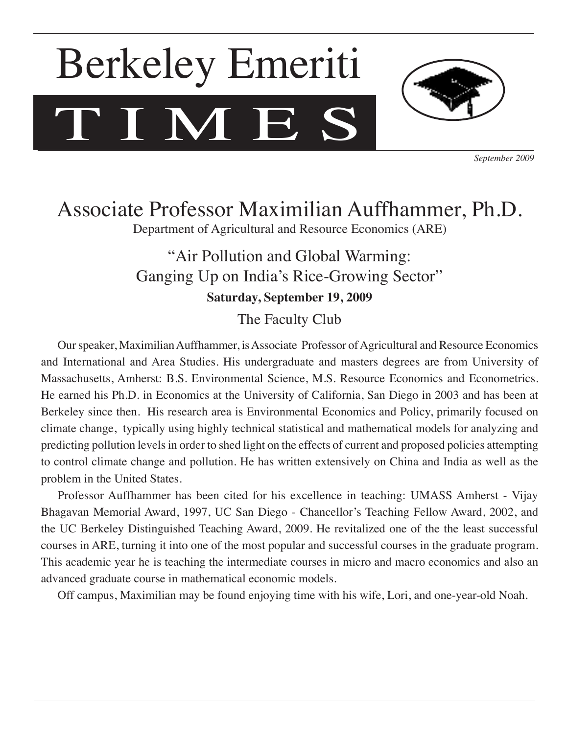# T I M E S Berkeley Emeriti



*September 2009*

## Associate Professor Maximilian Auffhammer, Ph.D.

Department of Agricultural and Resource Economics (ARE)

### "Air Pollution and Global Warming: Ganging Up on India's Rice-Growing Sector" **Saturday, September 19, 2009**

The Faculty Club

Our speaker, Maximilian Auffhammer, is Associate Professor of Agricultural and Resource Economics and International and Area Studies. His undergraduate and masters degrees are from University of Massachusetts, Amherst: B.S. Environmental Science, M.S. Resource Economics and Econometrics. He earned his Ph.D. in Economics at the University of California, San Diego in 2003 and has been at Berkeley since then. His research area is Environmental Economics and Policy, primarily focused on climate change, typically using highly technical statistical and mathematical models for analyzing and predicting pollution levels in order to shed light on the effects of current and proposed policies attempting to control climate change and pollution. He has written extensively on China and India as well as the problem in the United States.

Professor Auffhammer has been cited for his excellence in teaching: UMASS Amherst - Vijay Bhagavan Memorial Award, 1997, UC San Diego - Chancellor's Teaching Fellow Award, 2002, and the UC Berkeley Distinguished Teaching Award, 2009. He revitalized one of the the least successful courses in ARE, turning it into one of the most popular and successful courses in the graduate program. This academic year he is teaching the intermediate courses in micro and macro economics and also an advanced graduate course in mathematical economic models.

Off campus, Maximilian may be found enjoying time with his wife, Lori, and one-year-old Noah.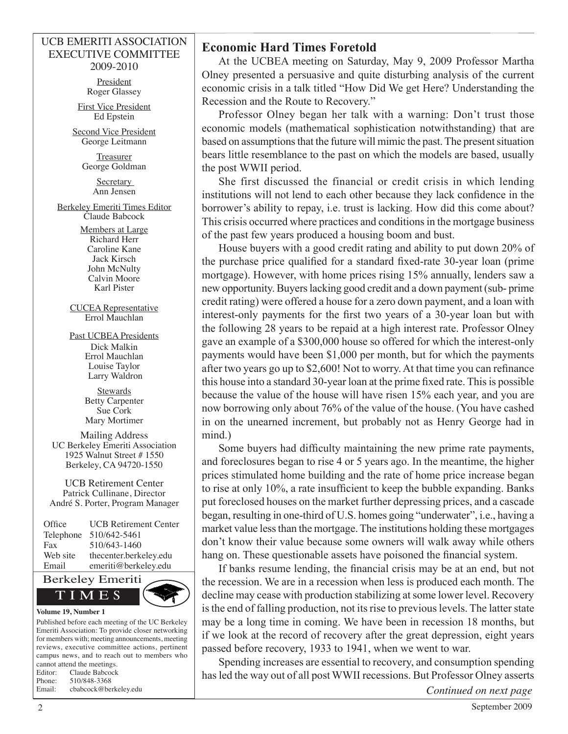#### UCB EMERITI ASSOCIATION EXECUTIVE COMMITTEE 2009-2010

**President** Roger Glassey

First Vice President Ed Epstein

Second Vice President George Leitmann

> Treasurer George Goldman

> > **Secretary** Ann Jensen

Berkeley Emeriti Times Editor Claude Babcock

> Members at Large Richard Herr Caroline Kane Jack Kirsch John McNulty Calvin Moore Karl Pister

CUCEA Representative Errol Mauchlan

Past UCBEA Presidents Dick Malkin Errol Mauchlan Louise Taylor Larry Waldron

> **Stewards** Betty Carpenter Sue Cork Mary Mortimer

Mailing Address UC Berkeley Emeriti Association 1925 Walnut Street # 1550 Berkeley, CA 94720-1550

UCB Retirement Center Patrick Cullinane, Director André S. Porter, Program Manager

| Office    | <b>UCB</b> Retirement Center |
|-----------|------------------------------|
| Telephone | 510/642-5461                 |
| Fax       | 510/643-1460                 |
| Web site  | thecenter.berkeley.edu       |
| Email     | emeriti@berkeley.edu         |



Published before each meeting of the UC Berkeley Emeriti Association: To provide closer networking for members with; meeting announcements, meeting reviews, executive committee actions, pertinent campus news, and to reach out to members who cannot attend the meetings. Editor: Claude Babcock Phone: 510/848-3368

| $\cdots$ |                      |
|----------|----------------------|
| Email:   | cbabcock@berkeley.ed |

#### **Economic Hard Times Foretold**

At the UCBEA meeting on Saturday, May 9, 2009 Professor Martha Olney presented a persuasive and quite disturbing analysis of the current economic crisis in a talk titled "How Did We get Here? Understanding the Recession and the Route to Recovery."

Professor Olney began her talk with a warning: Don't trust those economic models (mathematical sophistication notwithstanding) that are based on assumptions that the future will mimic the past. The present situation bears little resemblance to the past on which the models are based, usually the post WWII period.

She first discussed the financial or credit crisis in which lending institutions will not lend to each other because they lack confidence in the borrower's ability to repay, i.e. trust is lacking. How did this come about? This crisis occurred where practices and conditions in the mortgage business of the past few years produced a housing boom and bust.

House buyers with a good credit rating and ability to put down 20% of the purchase price qualified for a standard fixed-rate 30-year loan (prime mortgage). However, with home prices rising 15% annually, lenders saw a new opportunity. Buyers lacking good credit and a down payment (sub- prime credit rating) were offered a house for a zero down payment, and a loan with interest-only payments for the first two years of a 30-year loan but with the following 28 years to be repaid at a high interest rate. Professor Olney gave an example of a \$300,000 house so offered for which the interest-only payments would have been \$1,000 per month, but for which the payments after two years go up to \$2,600! Not to worry. At that time you can refinance this house into a standard 30-year loan at the prime fixed rate. This is possible because the value of the house will have risen 15% each year, and you are now borrowing only about 76% of the value of the house. (You have cashed in on the unearned increment, but probably not as Henry George had in mind.)

Some buyers had difficulty maintaining the new prime rate payments, and foreclosures began to rise 4 or 5 years ago. In the meantime, the higher prices stimulated home building and the rate of home price increase began to rise at only 10%, a rate insufficient to keep the bubble expanding. Banks put foreclosed houses on the market further depressing prices, and a cascade began, resulting in one-third of U.S. homes going "underwater", i.e., having a market value less than the mortgage. The institutions holding these mortgages don't know their value because some owners will walk away while others hang on. These questionable assets have poisoned the financial system.

If banks resume lending, the financial crisis may be at an end, but not the recession. We are in a recession when less is produced each month. The decline may cease with production stabilizing at some lower level. Recovery is the end of falling production, not its rise to previous levels. The latter state may be a long time in coming. We have been in recession 18 months, but if we look at the record of recovery after the great depression, eight years passed before recovery, 1933 to 1941, when we went to war.

Spending increases are essential to recovery, and consumption spending has led the way out of all post WWII recessions. But Professor Olney asserts

du continued on next page **Continued on next page**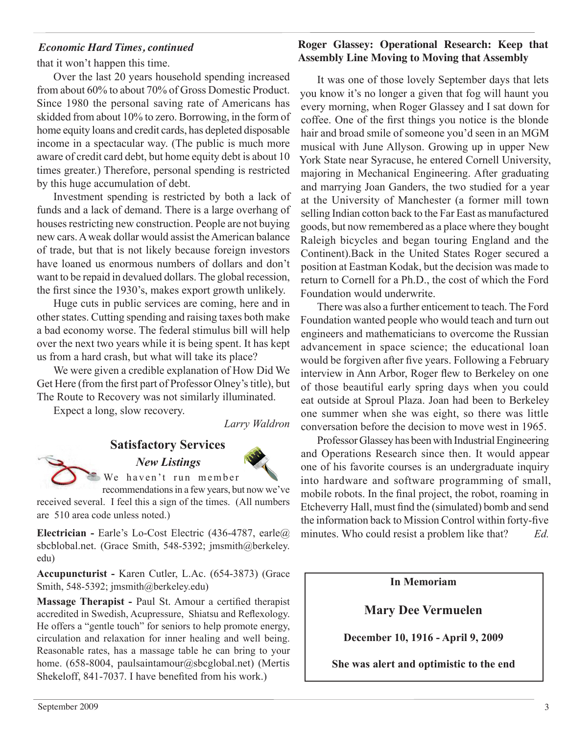that it won't happen this time.

Over the last 20 years household spending increased from about 60% to about 70% of Gross Domestic Product. Since 1980 the personal saving rate of Americans has skidded from about 10% to zero. Borrowing, in the form of home equity loans and credit cards, has depleted disposable income in a spectacular way. (The public is much more aware of credit card debt, but home equity debt is about 10 times greater.) Therefore, personal spending is restricted by this huge accumulation of debt.

Investment spending is restricted by both a lack of funds and a lack of demand. There is a large overhang of houses restricting new construction. People are not buying new cars. A weak dollar would assist the American balance of trade, but that is not likely because foreign investors have loaned us enormous numbers of dollars and don't want to be repaid in devalued dollars. The global recession, the first since the 1930's, makes export growth unlikely.

Huge cuts in public services are coming, here and in other states. Cutting spending and raising taxes both make a bad economy worse. The federal stimulus bill will help over the next two years while it is being spent. It has kept us from a hard crash, but what will take its place?

We were given a credible explanation of How Did We Get Here (from the first part of Professor Olney's title), but The Route to Recovery was not similarly illuminated.

Expect a long, slow recovery.

*Larry Waldron*

#### **Satisfactory Services**





We haven't run member

recommendations in a few years, but now we've received several. I feel this a sign of the times. (All numbers are 510 area code unless noted.)

**Electrician -** Earle's Lo-Cost Electric (436-4787, earle@ sbcblobal.net. (Grace Smith, 548-5392; jmsmith@berkeley. edu)

**Accupuncturist -** Karen Cutler, L.Ac. (654-3873) (Grace Smith, 548-5392; jmsmith@berkeley.edu)

**Massage Therapist -** Paul St. Amour a certified therapist accredited in Swedish, Acupressure, Shiatsu and Reflexology. He offers a "gentle touch" for seniors to help promote energy, circulation and relaxation for inner healing and well being. Reasonable rates, has a massage table he can bring to your home. (658-8004, paulsaintamour@sbcglobal.net) (Mertis Shekeloff, 841-7037. I have benefited from his work.)

#### *Economic Hard Times, continued* **Roger Glassey: Operational Research: Keep that Assembly Line Moving to Moving that Assembly**

It was one of those lovely September days that lets you know it's no longer a given that fog will haunt you every morning, when Roger Glassey and I sat down for coffee. One of the first things you notice is the blonde hair and broad smile of someone you'd seen in an MGM musical with June Allyson. Growing up in upper New York State near Syracuse, he entered Cornell University, majoring in Mechanical Engineering. After graduating and marrying Joan Ganders, the two studied for a year at the University of Manchester (a former mill town selling Indian cotton back to the Far East as manufactured goods, but now remembered as a place where they bought Raleigh bicycles and began touring England and the Continent).Back in the United States Roger secured a position at Eastman Kodak, but the decision was made to return to Cornell for a Ph.D., the cost of which the Ford Foundation would underwrite.

There was also a further enticement to teach. The Ford Foundation wanted people who would teach and turn out engineers and mathematicians to overcome the Russian advancement in space science; the educational loan would be forgiven after five years. Following a February interview in Ann Arbor, Roger flew to Berkeley on one of those beautiful early spring days when you could eat outside at Sproul Plaza. Joan had been to Berkeley one summer when she was eight, so there was little conversation before the decision to move west in 1965.

Professor Glassey has been with Industrial Engineering and Operations Research since then. It would appear one of his favorite courses is an undergraduate inquiry into hardware and software programming of small, mobile robots. In the final project, the robot, roaming in Etcheverry Hall, must find the (simulated) bomb and send the information back to Mission Control within forty-five minutes. Who could resist a problem like that? *Ed.* 

**In Memoriam**

**Mary Dee Vermuelen**

**December 10, 1916 - April 9, 2009**

**She was alert and optimistic to the end**